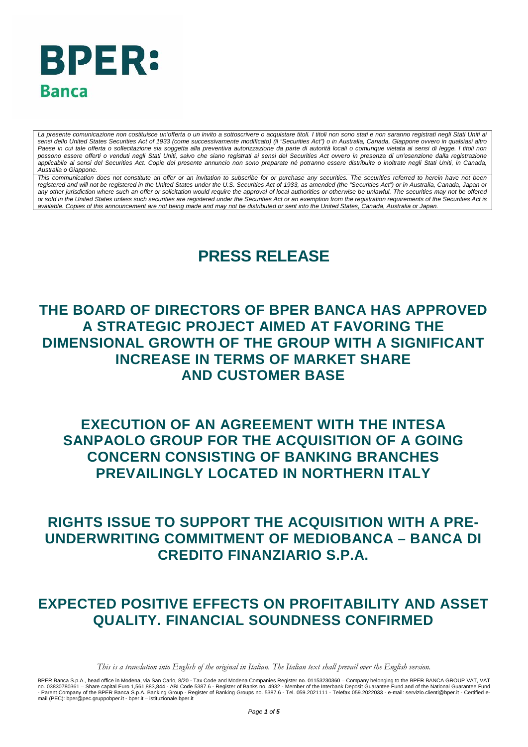# **BPER: Banca**

La presente comunicazione non costituisce un'offerta o un invito a sottoscrivere o acquistare titoli. I titoli non sono stati e non saranno registrati negli Stati Uniti ai *sensi dello United States Securities Act of 1933 (come successivamente modificato) (il "Securities Act") o in Australia, Canada, Giappone ovvero in qualsiasi altro Paese in cui tale offerta o sollecitazione sia soggetta alla preventiva autorizzazione da parte di autorità locali o comunque vietata ai sensi di legge. I titoli non possono essere offerti o venduti negli Stati Uniti, salvo che siano registrati ai sensi del Securities Act ovvero in presenza di un'esenzione dalla registrazione applicabile ai sensi del Securities Act. Copie del presente annuncio non sono preparate né potranno essere distribuite o inoltrate negli Stati Uniti, in Canada, Australia o Giappone.* 

*This communication does not constitute an offer or an invitation to subscribe for or purchase any securities. The securities referred to herein have not been* registered and will not be registered in the United States under the U.S. Securities Act of 1933, as amended (the "Securities Act") or in Australia, Canada, Japan or *any other jurisdiction where such an offer or solicitation would require the approval of local authorities or otherwise be unlawful. The securities may not be offered or sold in the United States unless such securities are registered under the Securities Act or an exemption from the registration requirements of the Securities Act is available. Copies of this announcement are not being made and may not be distributed or sent into the United States, Canada, Australia or Japan.*

## **PRESS RELEASE**

### **THE BOARD OF DIRECTORS OF BPER BANCA HAS APPROVED A STRATEGIC PROJECT AIMED AT FAVORING THE DIMENSIONAL GROWTH OF THE GROUP WITH A SIGNIFICANT INCREASE IN TERMS OF MARKET SHARE AND CUSTOMER BASE**

### **EXECUTION OF AN AGREEMENT WITH THE INTESA SANPAOLO GROUP FOR THE ACQUISITION OF A GOING CONCERN CONSISTING OF BANKING BRANCHES PREVAILINGLY LOCATED IN NORTHERN ITALY**

### **RIGHTS ISSUE TO SUPPORT THE ACQUISITION WITH A PRE-UNDERWRITING COMMITMENT OF MEDIOBANCA – BANCA DI CREDITO FINANZIARIO S.P.A.**

### <span id="page-0-0"></span>**EXPECTED POSITIVE EFFECTS ON PROFITABILITY AND ASSET QUALITY. FINANCIAL SOUNDNESS CONFIRMED**

*This is a translation into English of the original in Italian. The Italian text shall prevail over the English version.*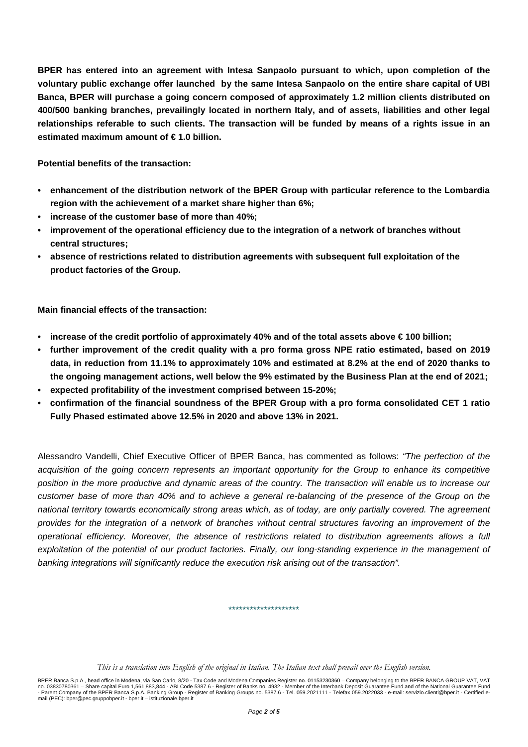**BPER has entered into an agreement with Intesa Sanpaolo pursuant to which, upon completion of the voluntary public exchange offer launched by the same Intesa Sanpaolo on the entire share capital of UBI Banca, BPER will purchase a going concern composed of approximately 1.2 million clients distributed on 400/500 banking branches, prevailingly located in northern Italy, and of assets, liabilities and other legal relationships referable to such clients. The transaction will be funded by means of a rights issue in an estimated maximum amount of € 1.0 billion.**

**Potential benefits of the transaction:**

- **• enhancement of the distribution network of the BPER Group with particular reference to the Lombardia region with the achievement of a market share higher than 6%;**
- **• increase of the customer base of more than 40%;**
- **• improvement of the operational efficiency due to the integration of a network of branches without central structures;**
- **• absence of restrictions related to distribution agreements with subsequent full exploitation of the product factories of the Group.**

**Main financial effects of the transaction:**

- **• increase of the credit portfolio of approximately 40% and of the total assets above € 100 billion;**
- **• further improvement of the credit quality with a pro forma gross NPE ratio estimated, based on 2019 data, in reduction from 11.1% to approximately 10% and estimated at 8.2% at the end of 2020 thanks to the ongoing management actions, well below the 9% estimated by the Business Plan at the end of 2021;**
- **• expected profitability of the investment comprised between 15-20%;**
- **confirmation of the financial soundness of the BPER Group with a pro forma consolidated CET 1 ratio Fully Phased estimated above 12.5% in 2020 and above 13% in 2021.**

Alessandro Vandelli, Chief Executive Officer of BPER Banca, has commented as follows: *"The perfection of the acquisition of the going concern represents an important opportunity for the Group to enhance its competitive position in the more productive and dynamic areas of the country. The transaction will enable us to increase our customer base of more than 40% and to achieve a general re-balancing of the presence of the Group on the national territory towards economically strong areas which, as of today, are only partially covered. The agreement provides for the integration of a network of branches without central structures favoring an improvement of the operational efficiency. Moreover, the absence of restrictions related to distribution agreements allows a full exploitation of the potential of our product factories. Finally, our long-standing experience in the management of banking integrations will significantly reduce the execution risk arising out of the transaction".*

*This is a translation into English of the original in Italian. The Italian text shall prevail over the English version.*

\*\*\*\*\*\*\*\*\*\*\*\*\*\*\*\*\*\*\*\*

BPER Banca S.p.A., head office in Modena, via San Carlo, 8/20 - Tax Code and Modena Companies Register no. 01153230360 – Company belonging to the BPER BANCA GROUP VAT, VAT<br>no. 03830780361 – Share capital Euro 1,561,883,84 mail (PEC): bper@pec.gruppobper.it - bper.it – istituzionale.bper.it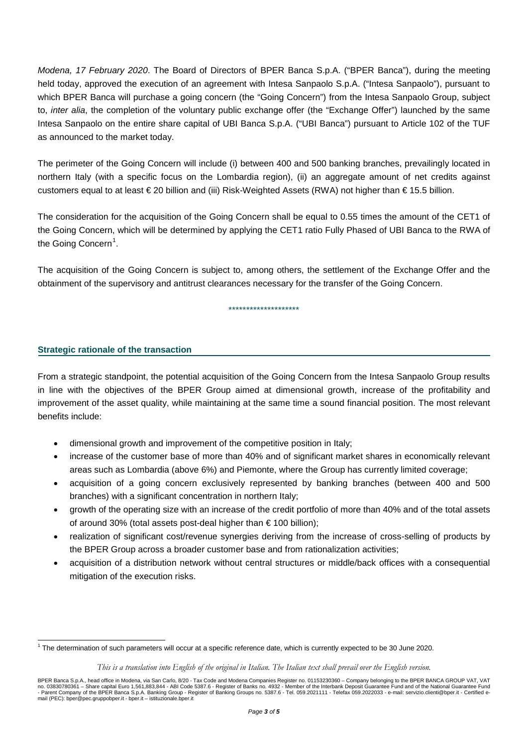*Modena, 17 February 2020*. The Board of Directors of BPER Banca S.p.A. ("BPER Banca"), during the meeting held today, approved the execution of an agreement with Intesa Sanpaolo S.p.A. ("Intesa Sanpaolo"), pursuant to which BPER Banca will purchase a going concern (the "Going Concern") from the Intesa Sanpaolo Group, subject to, *inter alia*, the completion of the voluntary public exchange offer (the "Exchange Offer") launched by the same Intesa Sanpaolo on the entire share capital of UBI Banca S.p.A. ("UBI Banca") pursuant to Article 102 of the TUF as announced to the market today.

The perimeter of the Going Concern will include (i) between 400 and 500 banking branches, prevailingly located in northern Italy (with a specific focus on the Lombardia region), (ii) an aggregate amount of net credits against customers equal to at least € 20 billion and (iii) Risk-Weighted Assets (RWA) not higher than € 15.5 billion.

The consideration for the acquisition of the Going Concern shall be equal to 0.55 times the amount of the CET1 of the Going Concern, which will be determined by applying the CET1 ratio Fully Phased of UBI Banca to the RWA of the Going Concern $^1$  $^1$ .

The acquisition of the Going Concern is subject to, among others, the settlement of the Exchange Offer and the obtainment of the supervisory and antitrust clearances necessary for the transfer of the Going Concern.

\*\*\*\*\*\*\*\*\*\*\*\*\*\*\*\*\*\*\*\*

#### **Strategic rationale of the transaction**

From a strategic standpoint, the potential acquisition of the Going Concern from the Intesa Sanpaolo Group results in line with the objectives of the BPER Group aimed at dimensional growth, increase of the profitability and improvement of the asset quality, while maintaining at the same time a sound financial position. The most relevant benefits include:

- dimensional growth and improvement of the competitive position in Italy;
- increase of the customer base of more than 40% and of significant market shares in economically relevant areas such as Lombardia (above 6%) and Piemonte, where the Group has currently limited coverage;
- acquisition of a going concern exclusively represented by banking branches (between 400 and 500 branches) with a significant concentration in northern Italy;
- growth of the operating size with an increase of the credit portfolio of more than 40% and of the total assets of around 30% (total assets post-deal higher than € 100 billion);
- realization of significant cost/revenue synergies deriving from the increase of cross-selling of products by the BPER Group across a broader customer base and from rationalization activities;
- acquisition of a distribution network without central structures or middle/back offices with a consequential mitigation of the execution risks.

 <sup>1</sup> The determination of such parameters will occur at a specific reference date, which is currently expected to be 30 June 2020.

*This is a translation into English of the original in Italian. The Italian text shall prevail over the English version.*

BPER Banca S.p.A., head office in Modena, via San Carlo, 8/20 - Tax Code and Modena Companies Register no. 01153230360 – Company belonging to the BPER BANCA GROUP VAT, VAT no. 03830780361 – Share capital Euro 1,561,883,844 - ABI Code 5387.6 - Register of Banks no. 4932 - Member of the Interbank Deposit Guarantee Fund and of the National Guarantee Fund<br>- Parent Company of the BPER Banca S.p.A mail (PEC): bper@pec.gruppobper.it - bper.it – istituzionale.bper.it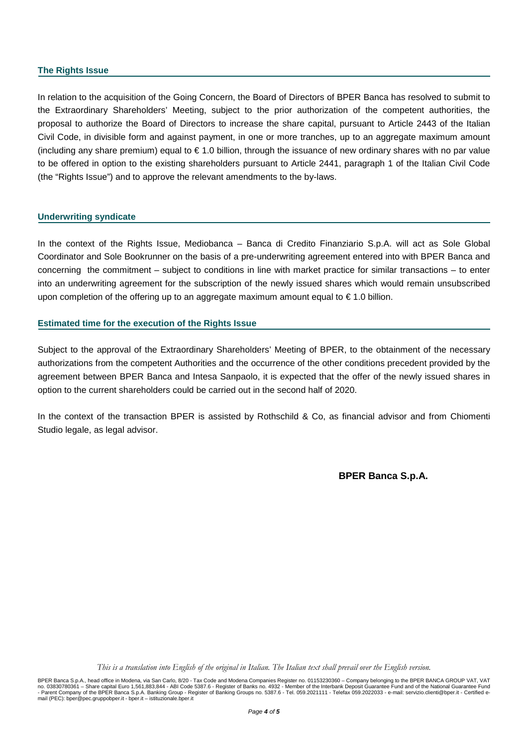#### **The Rights Issue**

In relation to the acquisition of the Going Concern, the Board of Directors of BPER Banca has resolved to submit to the Extraordinary Shareholders' Meeting, subject to the prior authorization of the competent authorities, the proposal to authorize the Board of Directors to increase the share capital, pursuant to Article 2443 of the Italian Civil Code, in divisible form and against payment, in one or more tranches, up to an aggregate maximum amount (including any share premium) equal to € 1.0 billion, through the issuance of new ordinary shares with no par value to be offered in option to the existing shareholders pursuant to Article 2441, paragraph 1 of the Italian Civil Code (the "Rights Issue") and to approve the relevant amendments to the by-laws.

#### **Underwriting syndicate**

In the context of the Rights Issue, Mediobanca – Banca di Credito Finanziario S.p.A. will act as Sole Global Coordinator and Sole Bookrunner on the basis of a pre-underwriting agreement entered into with BPER Banca and concerning the commitment – subject to conditions in line with market practice for similar transactions – to enter into an underwriting agreement for the subscription of the newly issued shares which would remain unsubscribed upon completion of the offering up to an aggregate maximum amount equal to  $\epsilon$  1.0 billion.

#### **Estimated time for the execution of the Rights Issue**

Subject to the approval of the Extraordinary Shareholders' Meeting of BPER, to the obtainment of the necessary authorizations from the competent Authorities and the occurrence of the other conditions precedent provided by the agreement between BPER Banca and Intesa Sanpaolo, it is expected that the offer of the newly issued shares in option to the current shareholders could be carried out in the second half of 2020.

In the context of the transaction BPER is assisted by Rothschild & Co, as financial advisor and from Chiomenti Studio legale, as legal advisor.

**BPER Banca S.p.A.**

*This is a translation into English of the original in Italian. The Italian text shall prevail over the English version.*

BPER Banca S.p.A., head office in Modena, via San Carlo, 8/20 - Tax Code and Modena Companies Register no. 01153230360 – Company belonging to the BPER BANCA GROUP VAT, VAT no. 03830780361 – Share capital Euro 1,561,883,844 - ABI Code 5387.6 - Register of Banks no. 4932 - Member of the Interbank Deposit Guarantee Fund and of the National Guarantee Fund<br>- Parent Company of the BPER Banca S.p.A mail (PEC): bper@pec.gruppobper.it - bper.it – istituzionale.bper.it